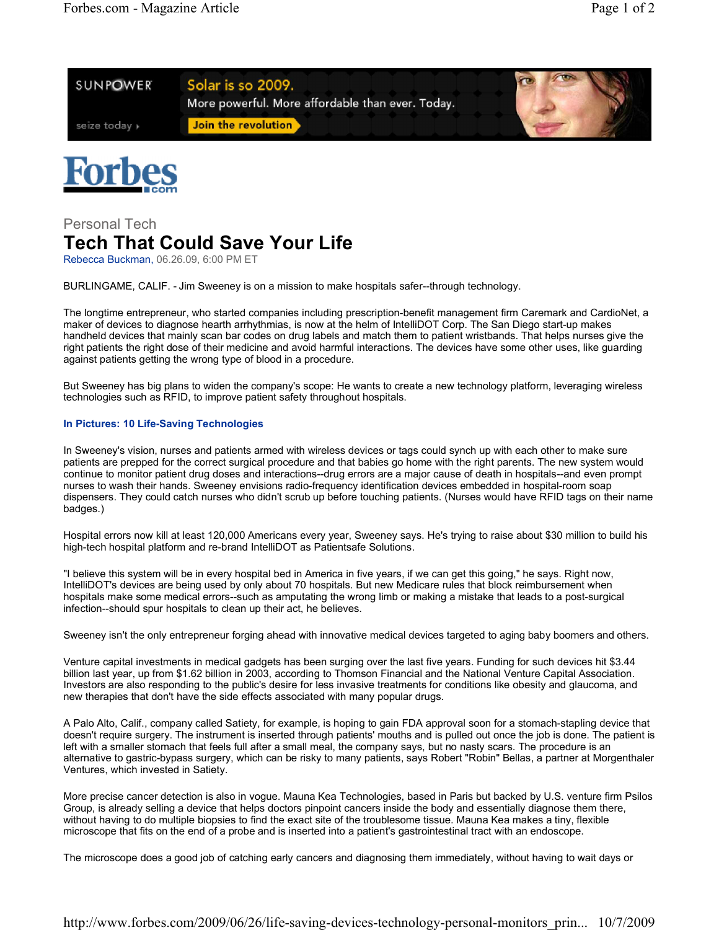



## Personal Tech **Tech That Could Save Your Life**

Rebecca Buckman, 06.26.09, 6:00 PM ET

BURLINGAME, CALIF. - Jim Sweeney is on a mission to make hospitals safer--through technology.

The longtime entrepreneur, who started companies including prescription-benefit management firm Caremark and CardioNet, a maker of devices to diagnose hearth arrhythmias, is now at the helm of IntelliDOT Corp. The San Diego start-up makes handheld devices that mainly scan bar codes on drug labels and match them to patient wristbands. That helps nurses give the right patients the right dose of their medicine and avoid harmful interactions. The devices have some other uses, like guarding against patients getting the wrong type of blood in a procedure.

But Sweeney has big plans to widen the company's scope: He wants to create a new technology platform, leveraging wireless technologies such as RFID, to improve patient safety throughout hospitals.

## **In Pictures: 10 Life-Saving Technologies**

In Sweeney's vision, nurses and patients armed with wireless devices or tags could synch up with each other to make sure patients are prepped for the correct surgical procedure and that babies go home with the right parents. The new system would continue to monitor patient drug doses and interactions--drug errors are a major cause of death in hospitals--and even prompt nurses to wash their hands. Sweeney envisions radio-frequency identification devices embedded in hospital-room soap dispensers. They could catch nurses who didn't scrub up before touching patients. (Nurses would have RFID tags on their name badges.)

Hospital errors now kill at least 120,000 Americans every year, Sweeney says. He's trying to raise about \$30 million to build his high-tech hospital platform and re-brand IntelliDOT as Patientsafe Solutions.

"I believe this system will be in every hospital bed in America in five years, if we can get this going," he says. Right now, IntelliDOT's devices are being used by only about 70 hospitals. But new Medicare rules that block reimbursement when hospitals make some medical errors--such as amputating the wrong limb or making a mistake that leads to a post-surgical infection--should spur hospitals to clean up their act, he believes.

Sweeney isn't the only entrepreneur forging ahead with innovative medical devices targeted to aging baby boomers and others.

Venture capital investments in medical gadgets has been surging over the last five years. Funding for such devices hit \$3.44 billion last year, up from \$1.62 billion in 2003, according to Thomson Financial and the National Venture Capital Association. Investors are also responding to the public's desire for less invasive treatments for conditions like obesity and glaucoma, and new therapies that don't have the side effects associated with many popular drugs.

A Palo Alto, Calif., company called Satiety, for example, is hoping to gain FDA approval soon for a stomach-stapling device that doesn't require surgery. The instrument is inserted through patients' mouths and is pulled out once the job is done. The patient is left with a smaller stomach that feels full after a small meal, the company says, but no nasty scars. The procedure is an alternative to gastric-bypass surgery, which can be risky to many patients, says Robert "Robin" Bellas, a partner at Morgenthaler Ventures, which invested in Satiety.

More precise cancer detection is also in vogue. Mauna Kea Technologies, based in Paris but backed by U.S. venture firm Psilos Group, is already selling a device that helps doctors pinpoint cancers inside the body and essentially diagnose them there, without having to do multiple biopsies to find the exact site of the troublesome tissue. Mauna Kea makes a tiny, flexible microscope that fits on the end of a probe and is inserted into a patient's gastrointestinal tract with an endoscope.

The microscope does a good job of catching early cancers and diagnosing them immediately, without having to wait days or